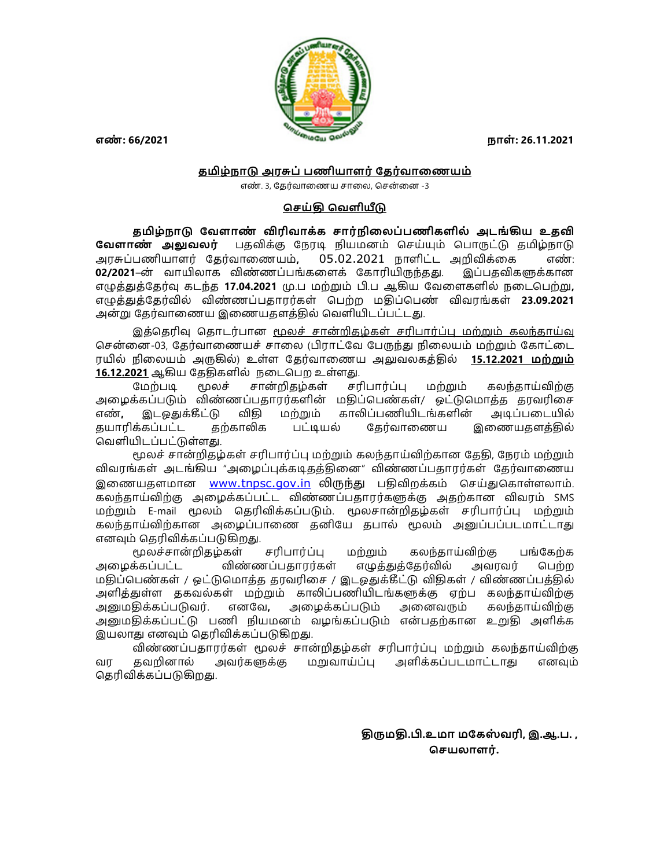

## தமிழ்நாடு அரசுப் பணியாளர் தேர்வாணையம்

எண். 3, கேர்வாணைய சாலை, சென்னை -3

## செய்தி வெளியீடு

தமிழ்நாடு வேளாண் விரிவாக்க சார்நிலைப்பணிகளில் அடங்கிய உதவி **வேளாண் அலுவலர்** பதவிக்கு நேரடி நியமனம் செய்யும் பொருட்டு தமிழ்நாடு அரசுப்பணியாளர் தேர்வாணையம், 05.02.2021 நாளிட்ட அறிவிக்கை எண்: 02/2021–ன் வாயிலாக விண்ணப்பங்களைக் கோரியிருந்தது. இப்பதவிகளுக்கான எழுத்துத்தேர்வு கடந்த **17.04.2021** மு.ப மற்றும் பி.ப ஆகிய வேளைகளில் நடைபெற்று, எழுத்துத்தேர்வில் விண்ணப்பதாரர்கள் பெற்ற மதிப்பெண் விவரங்கள் 23.09.2021 அன்று தேர்வாணைய இணையதளத்தில் வெளியிடப்பட்டது.

இத்தெரிவு தொடர்பான <u>மூலச் சான்றிதழ்கள் சரிபார்ப்பு மற்றும் கலந்தாய்வு</u> சென்னை-03, தேர்வாணையச் சாலை (பிராட்வே பேருந்து நிலையம் மற்றும் கோட்டை ரயில் நிலையம் அருகில்) உள்ள கேர்வாணைய அவுவலகக்கில் **15.12.2021 மற்றும்** 16.12.2021 ஆகிய தேதிகளில் நடைபெற உள்ளது.

மேற்படி மூலச் சான்றிதழ்கள் சரிபார்ப்பு மற்றும் கலந்தாய்விற்கு அழைக்கப்படும் விண்ணப்பதாரர்களின் மதிப்பெண்கள்/ ஒட்டுமொத்த தரவரிசை எண், இடஒதுக்கீட்டு விதி மற்றும் காலிப்பணியிடங்களின் அடிப்படையில் தயாரிக்கப்பட்ட தற்காலிக பட்டியல் தேர்வாணைய இணையதளத்தில் வெளியிடப்பட்டுள்ளது.<br>மூலச் சான்றிதழ்கள் சரிபார்ப்பு மற்றும் கலந்தாய்விற்கான தேதி, நேரம் மற்றும்

விவரங்கள் அடங்கிய "அழைப்புக்கடிதத்தினை" விண்ணப்பதாரர்கள் தேர்வாணைய இணையதளமான www.tnpsc.gov.in லிருந்து பதிவிறக்கம் செய்துகொள்ளலாம். கலந்தாய்விற்கு அமைக்கப்பட்ட விண்ணப்பதாரர்களுக்கு அதற்கான விவாம் SMS மற்றும் E-mail மூலம் தெரிவிக்கப்படும். மூலசான்றிதழ்கள் சரிபார்ப்பு மற்றும் கலந்தாய்விற்கான அழைப்பாணை தனியே தபால் மூலம் அனுப்பப்படமாட்டாது எனவும் தெரிவிக்கப்படுகிறது.<br>முலச்சான்றிகழ்கள் சரிபார்ப்பு மற்றும் கலந்காய்விற்கு பங்கேற்க

அழைக்கப்பட்ட விண்ணப்பதாரர்கள் எழுத்துத்தேர்வில் அவரவர் பெற்ற மதிப்பெண்கள் / ஒட்டுமொத்த தரவரிசை / இடஒதுக்கீட்டு விதிகள் / விண்ணப்பத்தில் அளிக்துள்ள ககவல்கள் மற்றும் காலிப்பணியிடங்களுக்கு ஏற்ப கலந்தாய்விற்கு அனுமதிக்கப்படுவர். எனவே, அழைக்கப்படும் அனைவரும் கலந்தாய்விற்கு அனுமதிக்கப்பட்டு பணி நியமனம் வழங்கப்படும் என்பதற்கான உறுதி அளிக்க இயலாது எனவும் தெரிவிக்கப்படுகிறது.

விண்ணப்பதாரர்கள் மூலச் சான்றிதழ்கள் சரிபார்ப்பு மற்றும் கலந்தாய்விற்கு வர தவறினால் அவர்களுக்கு மறுவாய்ப்பு அளிக்கப்படமாட்டாது எனவும் தெரிவிக்கப்படுகிறது.

> திருமதி.பி.உமா மகேஸ்வரி, இ.ஆ.ப. , செயலாளர்.